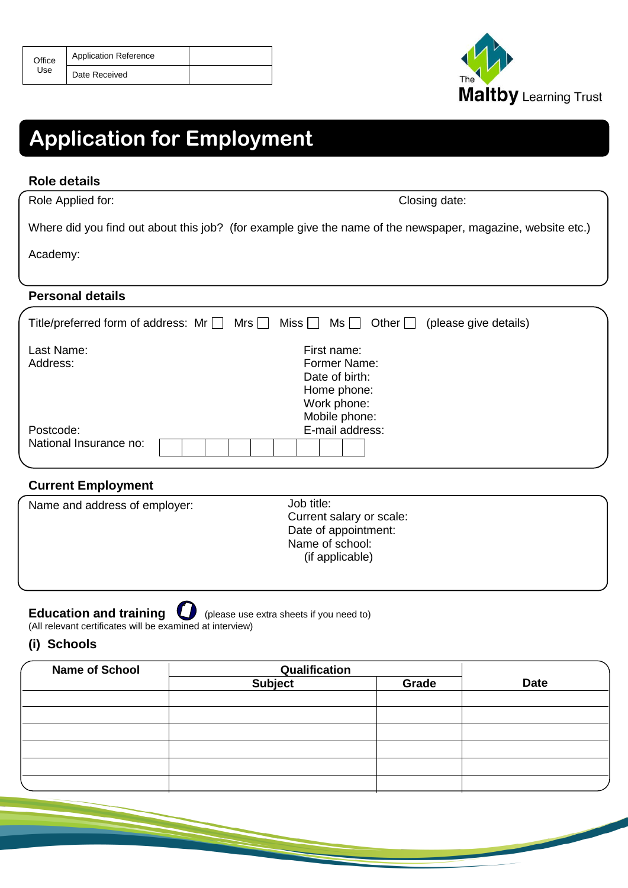| Office | <b>Application Reference</b> |  |
|--------|------------------------------|--|
| Use    | Date Received                |  |



# **Application for Employment**

#### **Role details**

Role Applied for: Closing date:

Where did you find out about this job? (for example give the name of the newspaper, magazine, website etc.)

Academy:

## **Personal details**

|                        | Title/preferred form of address: $Mr \Box Mrs \Box Miss \Box Ms \Box$ Other $\Box$ (please give details) |  |
|------------------------|----------------------------------------------------------------------------------------------------------|--|
| Last Name:             | First name:                                                                                              |  |
| Address:               | Former Name:                                                                                             |  |
|                        | Date of birth:                                                                                           |  |
|                        | Home phone:                                                                                              |  |
|                        | Work phone:                                                                                              |  |
|                        | Mobile phone:                                                                                            |  |
| Postcode:              | E-mail address:                                                                                          |  |
| National Insurance no: |                                                                                                          |  |
|                        |                                                                                                          |  |

### **Current Employment**

| Name and address of employer: | Job title:<br>Current salary or scale:<br>Date of appointment: |  |  |  |
|-------------------------------|----------------------------------------------------------------|--|--|--|
|                               | Name of school:<br>(if applicable)                             |  |  |  |
|                               |                                                                |  |  |  |

**Education and training**  $\bigcup$  (please use extra sheets if you need to) (All relevant certificates will be examined at interview)

#### **(i) Schools**

| <b>Name of School</b> | Qualification  |       |             |
|-----------------------|----------------|-------|-------------|
|                       | <b>Subject</b> | Grade | <b>Date</b> |
|                       |                |       |             |
|                       |                |       |             |
|                       |                |       |             |
|                       |                |       |             |
|                       |                |       |             |
|                       |                |       |             |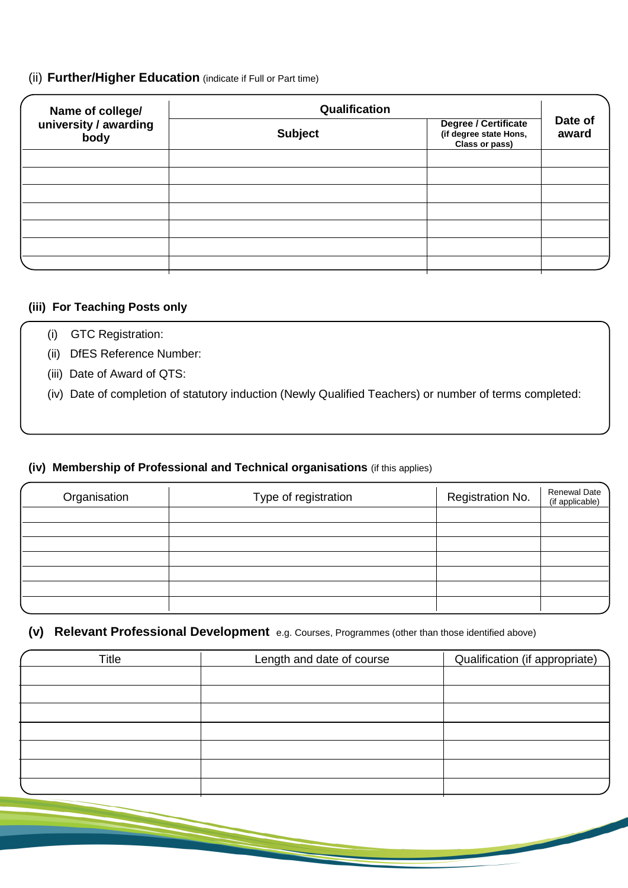### (ii) **Further/Higher Education** (indicate if Full or Part time)

| Name of college/              | Qualification  |                                                                  |                  |
|-------------------------------|----------------|------------------------------------------------------------------|------------------|
| university / awarding<br>body | <b>Subject</b> | Degree / Certificate<br>(if degree state Hons,<br>Class or pass) | Date of<br>award |
|                               |                |                                                                  |                  |
|                               |                |                                                                  |                  |
|                               |                |                                                                  |                  |
|                               |                |                                                                  |                  |
|                               |                |                                                                  |                  |
|                               |                |                                                                  |                  |
|                               |                |                                                                  |                  |

#### **(iii) For Teaching Posts only**

- (i) GTC Registration:
- (ii) DfES Reference Number:
- (iii) Date of Award of QTS:
- (iv) Date of completion of statutory induction (Newly Qualified Teachers) or number of terms completed:

#### **(iv) Membership of Professional and Technical organisations** (if this applies)

| Organisation | Type of registration | Registration No. | Renewal Date<br>(if applicable) |
|--------------|----------------------|------------------|---------------------------------|
|              |                      |                  |                                 |
|              |                      |                  |                                 |
|              |                      |                  |                                 |
|              |                      |                  |                                 |
|              |                      |                  |                                 |
|              |                      |                  |                                 |
|              |                      |                  |                                 |

### **(v) Relevant Professional Development** e.g. Courses, Programmes (other than those identified above)

| Title | Length and date of course | Qualification (if appropriate) |
|-------|---------------------------|--------------------------------|
|       |                           |                                |
|       |                           |                                |
|       |                           |                                |
|       |                           |                                |
|       |                           |                                |
|       |                           |                                |
|       |                           |                                |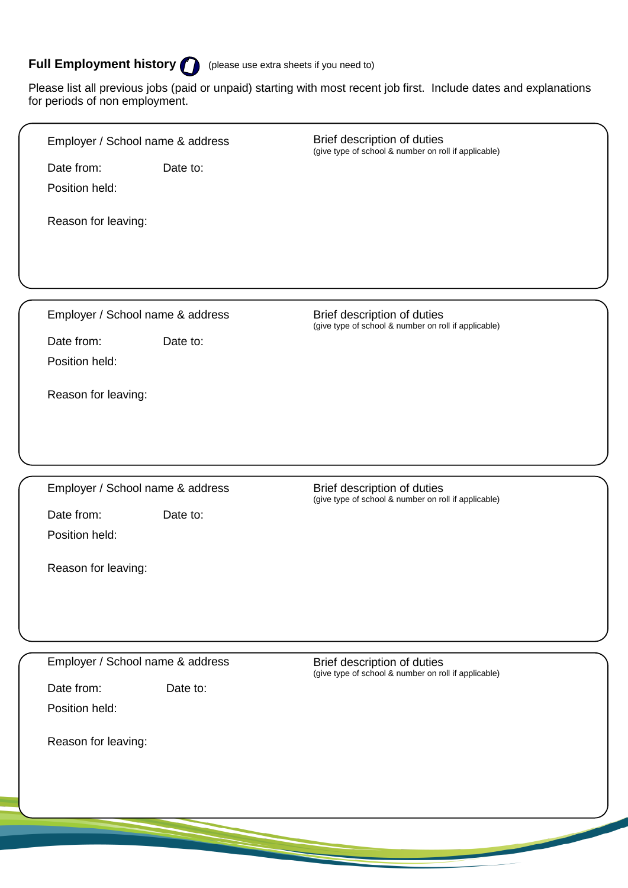# **Full Employment history** (please use extra sheets if you need to)

Please list all previous jobs (paid or unpaid) starting with most recent job first. Include dates and explanations for periods of non employment.

| Employer / School name & address |          | Brief description of duties<br>(give type of school & number on roll if applicable) |  |  |
|----------------------------------|----------|-------------------------------------------------------------------------------------|--|--|
| Date from:<br>Position held:     | Date to: |                                                                                     |  |  |
| Reason for leaving:              |          |                                                                                     |  |  |
|                                  |          |                                                                                     |  |  |
| Employer / School name & address |          | Brief description of duties<br>(give type of school & number on roll if applicable) |  |  |
| Date from:<br>Position held:     | Date to: |                                                                                     |  |  |
| Reason for leaving:              |          |                                                                                     |  |  |
|                                  |          |                                                                                     |  |  |
| Employer / School name & address |          | Brief description of duties<br>(give type of school & number on roll if applicable) |  |  |
| Date from:<br>Position held:     | Date to: |                                                                                     |  |  |
| Reason for leaving:              |          |                                                                                     |  |  |
|                                  |          |                                                                                     |  |  |
|                                  |          |                                                                                     |  |  |
| Employer / School name & address |          | Brief description of duties<br>(give type of school & number on roll if applicable) |  |  |
| Date from:<br>Position held:     | Date to: |                                                                                     |  |  |
| Reason for leaving:              |          |                                                                                     |  |  |
|                                  |          |                                                                                     |  |  |
|                                  |          |                                                                                     |  |  |
|                                  |          |                                                                                     |  |  |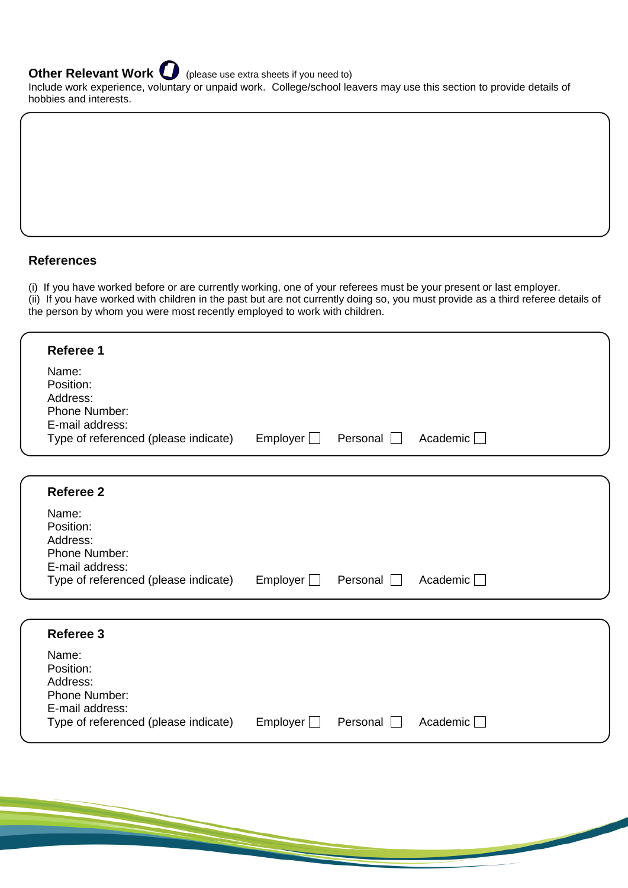**Other Relevant Work C** (please use extra sheets if you need to)

Include work experience, voluntary or unpaid work. College/school leavers may use this section to provide details of hobbies and interests.

#### **References**

(i) If you have worked before or are currently working, one of your referees must be your present or last employer.

(ii) If you have worked with children in the past but are not currently doing so, you must provide as a third referee details of the person by whom you were most recently employed to work with children.

| Referee 1                                                          |                 |                 |                    |  |
|--------------------------------------------------------------------|-----------------|-----------------|--------------------|--|
| Name:<br>Position:<br>Address:<br>Phone Number:<br>E-mail address: |                 |                 |                    |  |
| Type of referenced (please indicate)                               | Employer $\Box$ | Personal $\Box$ | Academic $\square$ |  |
|                                                                    |                 |                 |                    |  |
| <b>Referee 2</b>                                                   |                 |                 |                    |  |
| Name:<br>Position:<br>Address:                                     |                 |                 |                    |  |

| <b>Phone Number:</b>                 |                            |  |
|--------------------------------------|----------------------------|--|
| E-mail address:                      |                            |  |
| Type of referenced (please indicate) | Employer Personal Academic |  |

| Referee 3                            |          |                 |                 |
|--------------------------------------|----------|-----------------|-----------------|
| Name:                                |          |                 |                 |
| Position:                            |          |                 |                 |
| Address:                             |          |                 |                 |
| <b>Phone Number:</b>                 |          |                 |                 |
| E-mail address:                      |          |                 |                 |
| Type of referenced (please indicate) | Emplover | Personal $\Box$ | Academic $\Box$ |
|                                      |          |                 |                 |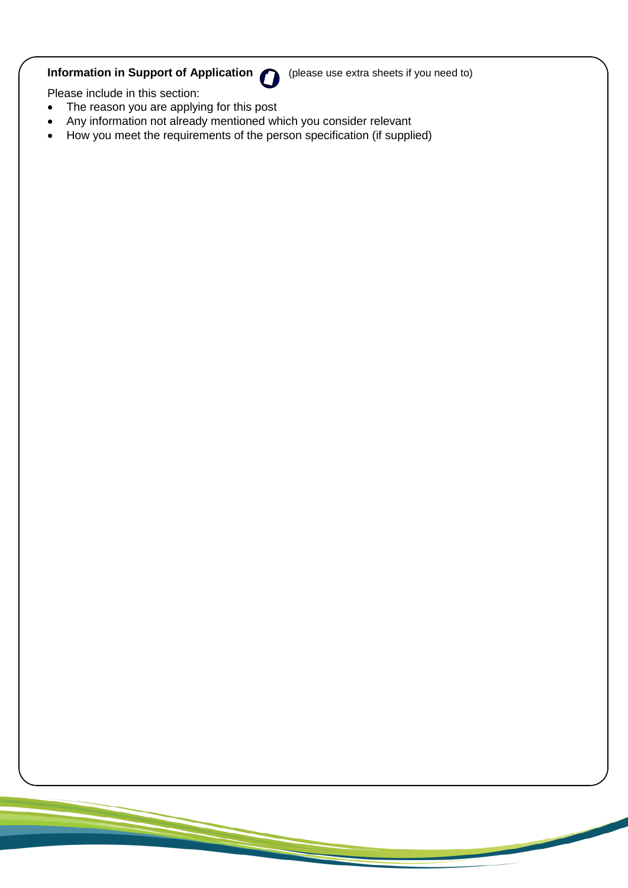# **Information in Support of Application (C)** (please use extra sheets if you need to)

Please include in this section:

- The reason you are applying for this post
- Any information not already mentioned which you consider relevant
- $\bullet$  How you meet the requirements of the person specification (if supplied)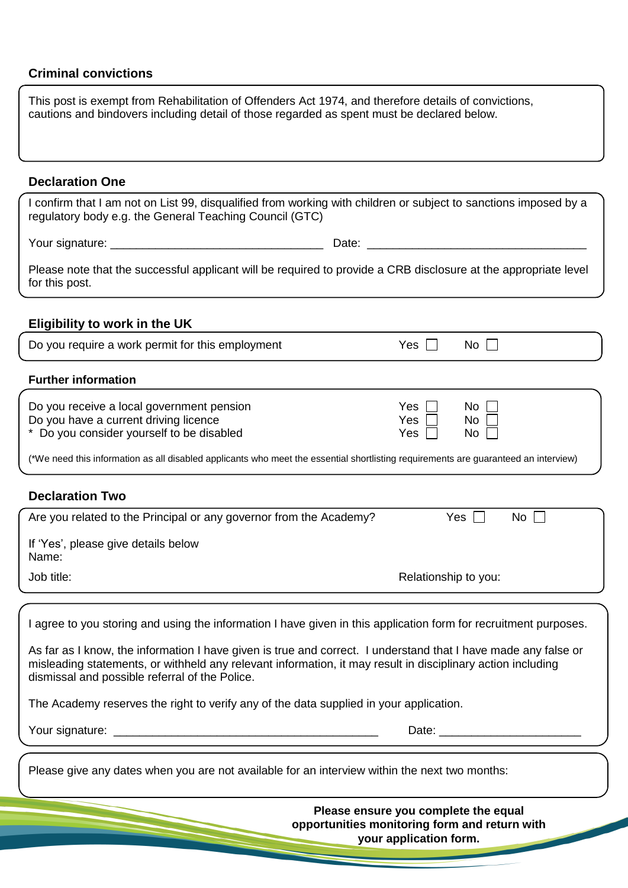# **Criminal convictions**

| This post is exempt from Rehabilitation of Offenders Act 1974, and therefore details of convictions,<br>cautions and bindovers including detail of those regarded as spent must be declared below.                                                                              |                                      |
|---------------------------------------------------------------------------------------------------------------------------------------------------------------------------------------------------------------------------------------------------------------------------------|--------------------------------------|
| <b>Declaration One</b>                                                                                                                                                                                                                                                          |                                      |
| I confirm that I am not on List 99, disqualified from working with children or subject to sanctions imposed by a<br>regulatory body e.g. the General Teaching Council (GTC)                                                                                                     |                                      |
|                                                                                                                                                                                                                                                                                 |                                      |
| Please note that the successful applicant will be required to provide a CRB disclosure at the appropriate level<br>for this post.                                                                                                                                               |                                      |
| <b>Eligibility to work in the UK</b>                                                                                                                                                                                                                                            |                                      |
| Do you require a work permit for this employment                                                                                                                                                                                                                                | $No$ $\Box$<br>Yes $\vert \ \vert$   |
| <b>Further information</b>                                                                                                                                                                                                                                                      |                                      |
| Do you receive a local government pension<br>Do you have a current driving licence<br>* Do you consider yourself to be disabled<br>(*We need this information as all disabled applicants who meet the essential shortlisting requirements are guaranteed an interview)          | Yes<br>No.<br>Yes<br>No<br>Yes<br>No |
| <b>Declaration Two</b>                                                                                                                                                                                                                                                          |                                      |
| Are you related to the Principal or any governor from the Academy?                                                                                                                                                                                                              | Yes<br>No                            |
| If 'Yes', please give details below<br>Name:                                                                                                                                                                                                                                    |                                      |
| Job title:                                                                                                                                                                                                                                                                      | Relationship to you:                 |
|                                                                                                                                                                                                                                                                                 |                                      |
| I agree to you storing and using the information I have given in this application form for recruitment purposes.                                                                                                                                                                |                                      |
| As far as I know, the information I have given is true and correct. I understand that I have made any false or<br>misleading statements, or withheld any relevant information, it may result in disciplinary action including<br>dismissal and possible referral of the Police. |                                      |
| The Academy reserves the right to verify any of the data supplied in your application.                                                                                                                                                                                          |                                      |
|                                                                                                                                                                                                                                                                                 |                                      |
| Please give any dates when you are not available for an interview within the next two months:                                                                                                                                                                                   |                                      |

**Please ensure you complete the equal opportunities monitoring form and return with your application form.**